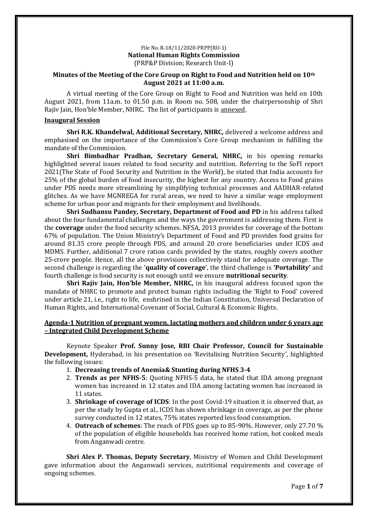### File No. R-18/11/2020-PRPP(RU-1) **National Human Rights Commission** (PRP&P Division; Research Unit-I)

### **Minutes of the Meeting of the Core Group on Right to Food and Nutrition held on 10th August 2021 at 11:00 a.m.**

A virtual meeting of the Core Group on Right to Food and Nutrition was held on 10th August 2021, from 11a.m. to 01.50 p.m. in Room no. 508, under the chairpersonship of Shri Rajiv Jain, Hon'ble Member, NHRC. The list of participants is annexed.

### **Inaugural Session**

**Shri R.K. Khandelwal, Additional Secretary, NHRC,** delivered a welcome address and emphasised on the importance of the Commission's Core Group mechanism in fulfilling the mandate of the Commission.

**Shri Bimbadhar Pradhan, Secretary General, NHRC,** in his opening remarks highlighted several issues related to food security and nutrition. Referring to the SoFI report 2021(The State of Food Security and Nutrition in the World), he stated that India accounts for 25% of the global burden of food insecurity, the highest for any country. Access to Food grains under PDS needs more streamlining by simplifying technical processes and AADHAR-related glitches. As we have MGNREGA for rural areas, we need to have a similar wage employment scheme for urban poor and migrants for their employment and livelihoods.

**Shri Sudhansu Pandey, Secretary, Department of Food and PD** in his address talked about the four fundamental challenges and the ways the government is addressing them. First is the **coverage** under the food security schemes. NFSA, 2013 provides for coverage of the bottom 67% of population. The Union Ministry's Department of Food and PD provides food grains for around 81.35 crore people through PDS, and around 20 crore beneficiaries under ICDS and MDMS. Further, additional 7 crore ration cards provided by the states, roughly covers another 25-crore people. Hence, all the above provisions collectively stand for adequate coverage. The second challenge is regarding the '**quality of coverage**', the third challenge is **'Portability'** and fourth challenge is food security is not enough until we ensure **nutritional security**.

**Shri Rajiv Jain, Hon'ble Member, NHRC,** in his inaugural address focused upon the mandate of NHRC to promote and protect human rights including the 'Right to Food' covered under article 21, i.e., right to life, enshrined in the Indian Constitution, Universal Declaration of Human Rights, and International Covenant of Social, Cultural & Economic Rights.

### **Agenda-1 Nutrition of pregnant women, lactating mothers and children under 6 years age – Integrated Child Development Scheme**

Keynote Speaker **Prof. Sunny Jose, RBI Chair Professor, Council for Sustainable Development,** Hyderabad, in his presentation on 'Revitalising Nutrition Security', highlighted the following issues:

- 1. **Decreasing trends of Anemia& Stunting during NFHS 3-4**
- 2. **Trends as per NFHS-5**: Quoting NFHS-5 data, he stated that IDA among pregnant women has increased in 12 states and IDA among lactating women has increased in 11 states.
- 3. **Shrinkage of coverage of ICDS**: In the post Covid-19 situation it is observed that, as per the study by Gupta et al., ICDS has shown shrinkage in coverage, as per the phone survey conducted in 12 states, 75% states reported less food consumption.
- 4. **Outreach of schemes**: The reach of PDS goes up to 85-90%. However, only 27.70 % of the population of eligible households has received home ration, hot cooked meals from Anganwadi centre.

**Shri Alex P. Thomas, Deputy Secretary**, Ministry of Women and Child Development gave information about the Anganwadi services, nutritional requirements and coverage of ongoing schemes.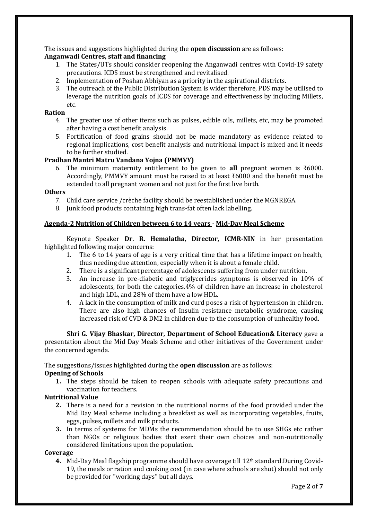The issues and suggestions highlighted during the **open discussion** are as follows:

## **Anganwadi Centres, staff and financing**

- 1. The States/UTs should consider reopening the Anganwadi centres with Covid-19 safety precautions. ICDS must be strengthened and revitalised.
- 2. Implementation of Poshan Abhiyan as a priority in the aspirational districts.
- 3. The outreach of the Public Distribution System is wider therefore, PDS may be utilised to leverage the nutrition goals of ICDS for coverage and effectiveness by including Millets, etc.

### **Ration**

- 4. The greater use of other items such as pulses, edible oils, millets, etc, may be promoted after having a cost benefit analysis.
- 5. Fortification of food grains should not be made mandatory as evidence related to regional implications, cost benefit analysis and nutritional impact is mixed and it needs to be further studied.

## **Pradhan Mantri Matru Vandana Yojna (PMMVY)**

6. The minimum maternity entitlement to be given to **all** pregnant women is ₹6000. Accordingly, PMMVY amount must be raised to at least ₹6000 and the benefit must be extended to all pregnant women and not just for the first live birth.

### **Others**

- 7. Child care service /crèche facility should be reestablished under the MGNREGA.
- 8. Junk food products containing high trans-fat often lack labelling.

### **Agenda-2 Nutrition of Children between 6 to 14 years - Mid-Day Meal Scheme**

Keynote Speaker **Dr. R. Hemalatha, Director, ICMR-NIN** in her presentation highlighted following major concerns:

- 1. The 6 to 14 years of age is a very critical time that has a lifetime impact on health, thus needing due attention, especially when it is about a female child.
- 2. There is a significant percentage of adolescents suffering from under nutrition.
- 3. An increase in pre-diabetic and triglycerides symptoms is observed in 10% of adolescents, for both the categories.4% of children have an increase in cholesterol and high LDL, and 28% of them have a low HDL.
- 4. A lack in the consumption of milk and curd poses a risk of hypertension in children. There are also high chances of Insulin resistance metabolic syndrome, causing increased risk of CVD & DM2 in children due to the consumption of unhealthy food.

**Shri G. Vijay Bhaskar, Director, Department of School Education& Literacy** gave a presentation about the Mid Day Meals Scheme and other initiatives of the Government under the concerned agenda.

The suggestions/issues highlighted during the **open discussion** are as follows:

### **Opening of Schools**

**1.** The steps should be taken to reopen schools with adequate safety precautions and vaccination for teachers.

### **Nutritional Value**

- **2.** There is a need for a revision in the nutritional norms of the food provided under the Mid Day Meal scheme including a breakfast as well as incorporating vegetables, fruits, eggs, pulses, millets and milk products.
- **3.** In terms of systems for MDMs the recommendation should be to use SHGs etc rather than NGOs or religious bodies that exert their own choices and non-nutritionally considered limitations upon the population.

### **Coverage**

**4.** Mid-Day Meal flagship programme should have coverage till 12th standard.During Covid-19, the meals or ration and cooking cost (in case where schools are shut) should not only be provided for "working days" but all days.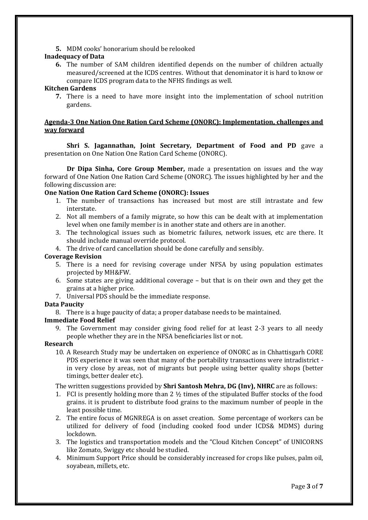**5.** MDM cooks' honorarium should be relooked

### **Inadequacy of Data**

**6.** The number of SAM children identified depends on the number of children actually measured/screened at the ICDS centres. Without that denominator it is hard to know or compare ICDS program data to the NFHS findings as well.

### **Kitchen Gardens**

**7.** There is a need to have more insight into the implementation of school nutrition gardens.

### **Agenda-3 One Nation One Ration Card Scheme (ONORC): Implementation, challenges and way forward**

**Shri S. Jagannathan, Joint Secretary, Department of Food and PD** gave a presentation on One Nation One Ration Card Scheme (ONORC).

**Dr Dipa Sinha, Core Group Member,** made a presentation on issues and the way forward of One Nation One Ration Card Scheme (ONORC). The issues highlighted by her and the following discussion are:

### **One Nation One Ration Card Scheme (ONORC): Issues**

- 1. The number of transactions has increased but most are still intrastate and few interstate.
- 2. Not all members of a family migrate, so how this can be dealt with at implementation level when one family member is in another state and others are in another.
- 3. The technological issues such as biometric failures, network issues, etc are there. It should include manual override protocol.
- 4. The drive of card cancellation should be done carefully and sensibly.

### **Coverage Revision**

- 5. There is a need for revising coverage under NFSA by using population estimates projected by MH&FW.
- 6. Some states are giving additional coverage but that is on their own and they get the grains at a higher price.
- 7. Universal PDS should be the immediate response.

## **Data Paucity**

8. There is a huge paucity of data; a proper database needs to be maintained.

## **Immediate Food Relief**

9. The Government may consider giving food relief for at least 2-3 years to all needy people whether they are in the NFSA beneficiaries list or not.

## **Research**

10. A Research Study may be undertaken on experience of ONORC as in Chhattisgarh CORE PDS experience it was seen that many of the portability transactions were intradistrict in very close by areas, not of migrants but people using better quality shops (better timings, better dealer etc).

The written suggestions provided by **Shri Santosh Mehra, DG (Inv), NHRC** are as follows:

- 1. FCI is presently holding more than 2  $\frac{1}{2}$  times of the stipulated Buffer stocks of the food grains. it is prudent to distribute food grains to the maximum number of people in the least possible time.
- 2. The entire focus of MGNREGA is on asset creation. Some percentage of workers can be utilized for delivery of food (including cooked food under ICDS& MDMS) during lockdown.
- 3. The logistics and transportation models and the "Cloud Kitchen Concept" of UNICORNS like Zomato, Swiggy etc should be studied.
- 4. Minimum Support Price should be considerably increased for crops like pulses, palm oil, soyabean, millets, etc.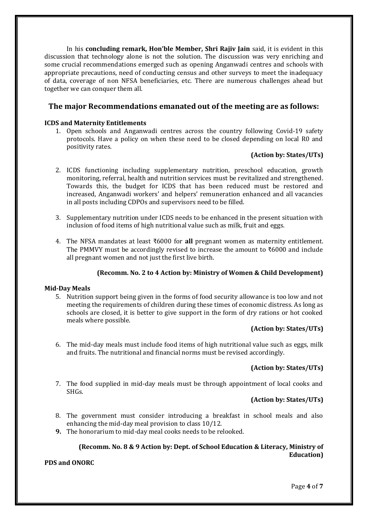In his **concluding remark, Hon'ble Member, Shri Rajiv Jain** said, it is evident in this discussion that technology alone is not the solution. The discussion was very enriching and some crucial recommendations emerged such as opening Anganwadi centres and schools with appropriate precautions, need of conducting census and other surveys to meet the inadequacy of data, coverage of non NFSA beneficiaries, etc. There are numerous challenges ahead but together we can conquer them all.

## **The major Recommendations emanated out of the meeting are as follows:**

## **ICDS and Maternity Entitlements**

1. Open schools and Anganwadi centres across the country following Covid-19 safety protocols. Have a policy on when these need to be closed depending on local R0 and positivity rates.

## **(Action by: States/UTs)**

- 2. ICDS functioning including supplementary nutrition, preschool education, growth monitoring, referral, health and nutrition services must be revitalized and strengthened. Towards this, the budget for ICDS that has been reduced must be restored and increased, Anganwadi workers' and helpers' remuneration enhanced and all vacancies in all posts including CDPOs and supervisors need to be filled.
- 3. Supplementary nutrition under ICDS needs to be enhanced in the present situation with inclusion of food items of high nutritional value such as milk, fruit and eggs.
- 4. The NFSA mandates at least ₹6000 for **all** pregnant women as maternity entitlement. The PMMVY must be accordingly revised to increase the amount to ₹6000 and include all pregnant women and not just the first live birth.

## **(Recomm. No. 2 to 4 Action by: Ministry of Women & Child Development)**

## **Mid-Day Meals**

5. Nutrition support being given in the forms of food security allowance is too low and not meeting the requirements of children during these times of economic distress. As long as schools are closed, it is better to give support in the form of dry rations or hot cooked meals where possible.

## **(Action by: States/UTs)**

6. The mid-day meals must include food items of high nutritional value such as eggs, milk and fruits. The nutritional and financial norms must be revised accordingly.

## **(Action by: States/UTs)**

7. The food supplied in mid-day meals must be through appointment of local cooks and SHGs.

## **(Action by: States/UTs)**

- 8. The government must consider introducing a breakfast in school meals and also enhancing the mid-day meal provision to class 10/12.
- **9.** The honorarium to mid-day meal cooks needs to be relooked.

## **(Recomm. No. 8 & 9 Action by: Dept. of School Education & Literacy, Ministry of Education)**

**PDS and ONORC**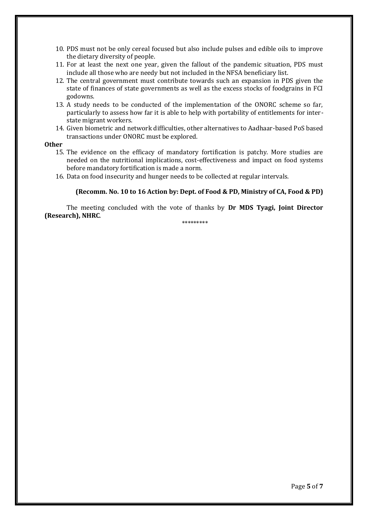- 10. PDS must not be only cereal focused but also include pulses and edible oils to improve the dietary diversity of people.
- 11. For at least the next one year, given the fallout of the pandemic situation, PDS must include all those who are needy but not included in the NFSA beneficiary list.
- 12. The central government must contribute towards such an expansion in PDS given the state of finances of state governments as well as the excess stocks of foodgrains in FCI godowns.
- 13. A study needs to be conducted of the implementation of the ONORC scheme so far, particularly to assess how far it is able to help with portability of entitlements for interstate migrant workers.
- 14. Given biometric and network difficulties, other alternatives to Aadhaar-based PoS based transactions under ONORC must be explored.

### **Other**

- 15. The evidence on the efficacy of mandatory fortification is patchy. More studies are needed on the nutritional implications, cost-effectiveness and impact on food systems before mandatory fortification is made a norm.
- 16. Data on food insecurity and hunger needs to be collected at regular intervals.

### **(Recomm. No. 10 to 16 Action by: Dept. of Food & PD, Ministry of CA, Food & PD)**

The meeting concluded with the vote of thanks by **Dr MDS Tyagi, Joint Director (Research), NHRC**.

\*\*\*\*\*\*\*\*\*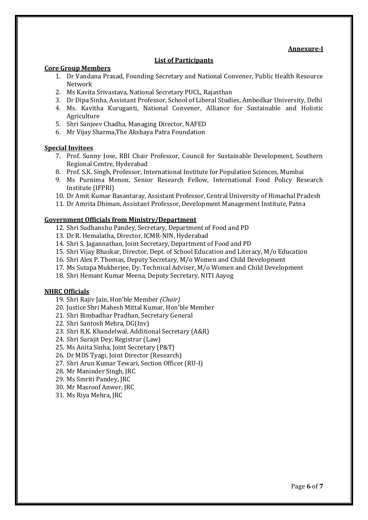### **Annexure-I**

### **List of Participants**

### **Core Group Members**

- 1. Dr Vandana Prasad, Founding Secretary and National Convener, Public Health Resource Network
- 2. Ms Kavita Srivastava, National Secretary PUCL, Rajasthan
- 3. Dr Dipa Sinha, Assistant Professor, School of Liberal Studies, Ambedkar University, Delhi
- 4. Ms. Kavitha Kuruganti, National Convener, Alliance for Sustainable and Holistic Agriculture
- 5. Shri Sanjeev Chadha, Managing Director, NAFED
- 6. Mr Vijay Sharma,The Akshaya Patra Foundation

### **Special Invitees**

- 7. Prof. Sunny Jose, RBI Chair Professor, Council for Sustainable Development, Southern Regional Centre, Hyderabad
- 8. Prof. S.K. Singh, Professor, International Institute for Population Sciences, Mumbai
- 9. Ms Purnima Menon, Senior Research Fellow, International Food Policy Research Institute (IFPRI)
- 10. Dr Amit Kumar Basantaray, Assistant Professor, Central University of Himachal Pradesh
- 11. Dr Amrita Dhiman, Assistant Professor, Development Management Institute, Patna

### **Government Officials from Ministry/Department**

- 12. Shri Sudhanshu Pandey, Secretary, Department of Food and PD
- 13. Dr R. Hemalatha, Director, ICMR-NIN, Hyderabad
- 14. Shri S. Jagannathan, Joint Secretary, Department of Food and PD
- 15. Shri Vijay Bhaskar, Director, Dept. of School Education and Literacy, M/o Education
- 16. Shri Alex P. Thomas, Deputy Secretary, M/o Women and Child Development
- 17. Ms Sutapa Mukherjee, Dy. Technical Adviser, M/o Women and Child Development
- 18. Shri Hemant Kumar Meena, Deputy Secretary, NITI Aayog

### **NHRC Officials**

- 19. Shri Rajiv Jain, Hon'ble Member *(Chair)*
- 20. Justice Shri Mahesh Mittal Kumar, Hon'ble Member
- 21. Shri Bimbadhar Pradhan, Secretary General
- 22. Shri Santosh Mehra, DG(Inv)
- 23. Shri R.K. Khandelwal, Additional Secretary (A&R)
- 24. Shri Surajit Dey, Registrar (Law)
- 25. Ms Anita Sinha, Joint Secretary (P&T)
- 26. Dr MDS Tyagi, Joint Director (Research)
- 27. Shri Arun Kumar Tewari, Section Officer (RU-I)
- 28. Mr Maninder Singh, JRC
- 29. Ms Smriti Pandey, JRC
- 30. Mr Masroof Anwer, JRC
- 31. Ms Riya Mehra, JRC